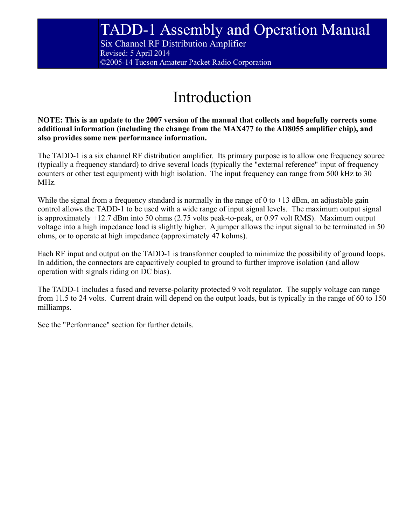Six Channel RF Distribution Amplifier Revised: 5 April 2014 ©2005-14 Tucson Amateur Packet Radio Corporation

## Introduction

**NOTE: This is an update to the 2007 version of the manual that collects and hopefully corrects some additional information (including the change from the MAX477 to the AD8055 amplifier chip), and also provides some new performance information.**

The TADD-1 is a six channel RF distribution amplifier. Its primary purpose is to allow one frequency source (typically a frequency standard) to drive several loads (typically the "external reference" input of frequency counters or other test equipment) with high isolation. The input frequency can range from 500 kHz to 30 MHz.

While the signal from a frequency standard is normally in the range of 0 to  $+13$  dBm, an adjustable gain control allows the TADD-1 to be used with a wide range of input signal levels. The maximum output signal is approximately +12.7 dBm into 50 ohms (2.75 volts peak-to-peak, or 0.97 volt RMS). Maximum output voltage into a high impedance load is slightly higher. A jumper allows the input signal to be terminated in 50 ohms, or to operate at high impedance (approximately 47 kohms).

Each RF input and output on the TADD-1 is transformer coupled to minimize the possibility of ground loops. In addition, the connectors are capacitively coupled to ground to further improve isolation (and allow operation with signals riding on DC bias).

The TADD-1 includes a fused and reverse-polarity protected 9 volt regulator. The supply voltage can range from 11.5 to 24 volts. Current drain will depend on the output loads, but is typically in the range of 60 to 150 milliamps.

See the "Performance" section for further details.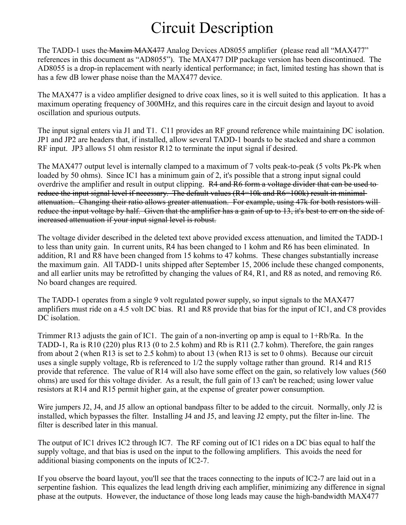### Circuit Description

The TADD-1 uses the Maxim MAX477 Analog Devices AD8055 amplifier (please read all "MAX477" references in this document as "AD8055"). The MAX477 DIP package version has been discontinued. The AD8055 is a drop-in replacement with nearly identical performance; in fact, limited testing has shown that is has a few dB lower phase noise than the MAX477 device.

The MAX477 is a video amplifier designed to drive coax lines, so it is well suited to this application. It has a maximum operating frequency of 300MHz, and this requires care in the circuit design and layout to avoid oscillation and spurious outputs.

The input signal enters via J1 and T1. C11 provides an RF ground reference while maintaining DC isolation. JP1 and JP2 are headers that, if installed, allow several TADD-1 boards to be stacked and share a common RF input. JP3 allows 51 ohm resistor R12 to terminate the input signal if desired.

The MAX477 output level is internally clamped to a maximum of 7 volts peak-to-peak (5 volts Pk-Pk when loaded by 50 ohms). Since IC1 has a minimum gain of 2, it's possible that a strong input signal could overdrive the amplifier and result in output clipping. R4 and R6 form a voltage divider that can be used to reduce the input signal level if necessary. The default values (R4=10k and R6=100k) result in minimalattenuation. Changing their ratio allows greater attenuation. For example, using 47k for both resistors will reduce the input voltage by half. Given that the amplifier has a gain of up to 13, it's best to err on the side of increased attenuation if your input signal level is robust.

The voltage divider described in the deleted text above provided excess attenuation, and limited the TADD-1 to less than unity gain. In current units, R4 has been changed to 1 kohm and R6 has been eliminated. In addition, R1 and R8 have been changed from 15 kohms to 47 kohms. These changes substantially increase the maximum gain. All TADD-1 units shipped after September 15, 2006 include these changed components, and all earlier units may be retrofitted by changing the values of R4, R1, and R8 as noted, and removing R6. No board changes are required.

The TADD-1 operates from a single 9 volt regulated power supply, so input signals to the MAX477 amplifiers must ride on a 4.5 volt DC bias. R1 and R8 provide that bias for the input of IC1, and C8 provides DC isolation.

Trimmer R13 adjusts the gain of IC1. The gain of a non-inverting op amp is equal to 1+Rb/Ra. In the TADD-1, Ra is R10 (220) plus R13 (0 to 2.5 kohm) and Rb is R11 (2.7 kohm). Therefore, the gain ranges from about 2 (when R13 is set to 2.5 kohm) to about 13 (when R13 is set to 0 ohms). Because our circuit uses a single supply voltage, Rb is referenced to 1/2 the supply voltage rather than ground. R14 and R15 provide that reference. The value of R14 will also have some effect on the gain, so relatively low values (560 ohms) are used for this voltage divider. As a result, the full gain of 13 can't be reached; using lower value resistors at R14 and R15 permit higher gain, at the expense of greater power consumption.

Wire jumpers J2, J4, and J5 allow an optional bandpass filter to be added to the circuit. Normally, only J2 is installed, which bypasses the filter. Installing J4 and J5, and leaving J2 empty, put the filter in-line. The filter is described later in this manual.

The output of IC1 drives IC2 through IC7. The RF coming out of IC1 rides on a DC bias equal to half the supply voltage, and that bias is used on the input to the following amplifiers. This avoids the need for additional biasing components on the inputs of IC2-7.

If you observe the board layout, you'll see that the traces connecting to the inputs of IC2-7 are laid out in a serpentine fashion. This equalizes the lead length driving each amplifier, minimizing any difference in signal phase at the outputs. However, the inductance of those long leads may cause the high-bandwidth MAX477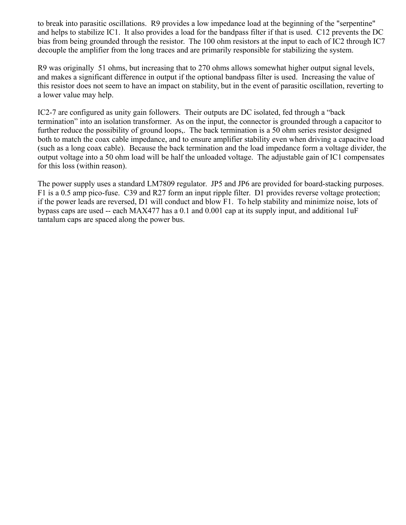to break into parasitic oscillations. R9 provides a low impedance load at the beginning of the "serpentine" and helps to stabilize IC1. It also provides a load for the bandpass filter if that is used. C12 prevents the DC bias from being grounded through the resistor. The 100 ohm resistors at the input to each of IC2 through IC7 decouple the amplifier from the long traces and are primarily responsible for stabilizing the system.

R9 was originally 51 ohms, but increasing that to 270 ohms allows somewhat higher output signal levels, and makes a significant difference in output if the optional bandpass filter is used. Increasing the value of this resistor does not seem to have an impact on stability, but in the event of parasitic oscillation, reverting to a lower value may help.

IC2-7 are configured as unity gain followers. Their outputs are DC isolated, fed through a "back termination" into an isolation transformer. As on the input, the connector is grounded through a capacitor to further reduce the possibility of ground loops,. The back termination is a 50 ohm series resistor designed both to match the coax cable impedance, and to ensure amplifier stability even when driving a capacitve load (such as a long coax cable). Because the back termination and the load impedance form a voltage divider, the output voltage into a 50 ohm load will be half the unloaded voltage. The adjustable gain of IC1 compensates for this loss (within reason).

The power supply uses a standard LM7809 regulator. JP5 and JP6 are provided for board-stacking purposes. F1 is a 0.5 amp pico-fuse. C39 and R27 form an input ripple filter. D1 provides reverse voltage protection; if the power leads are reversed, D1 will conduct and blow F1. To help stability and minimize noise, lots of bypass caps are used -- each MAX477 has a 0.1 and 0.001 cap at its supply input, and additional 1uF tantalum caps are spaced along the power bus.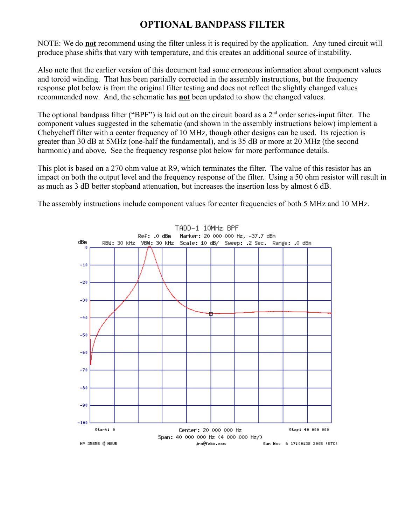#### **OPTIONAL BANDPASS FILTER**

NOTE: We do **not** recommend using the filter unless it is required by the application. Any tuned circuit will produce phase shifts that vary with temperature, and this creates an additional source of instability.

Also note that the earlier version of this document had some erroneous information about component values and toroid winding. That has been partially corrected in the assembly instructions, but the frequency response plot below is from the original filter testing and does not reflect the slightly changed values recommended now. And, the schematic has **not** been updated to show the changed values.

The optional bandpass filter ("BPF") is laid out on the circuit board as a 2<sup>nd</sup> order series-input filter. The component values suggested in the schematic (and shown in the assembly instructions below) implement a Chebycheff filter with a center frequency of 10 MHz, though other designs can be used. Its rejection is greater than 30 dB at 5MHz (one-half the fundamental), and is 35 dB or more at 20 MHz (the second harmonic) and above. See the frequency response plot below for more performance details.

This plot is based on a 270 ohm value at R9, which terminates the filter. The value of this resistor has an impact on both the output level and the frequency response of the filter. Using a 50 ohm resistor will result in as much as 3 dB better stopband attenuation, but increases the insertion loss by almost 6 dB.

The assembly instructions include component values for center frequencies of both 5 MHz and 10 MHz.

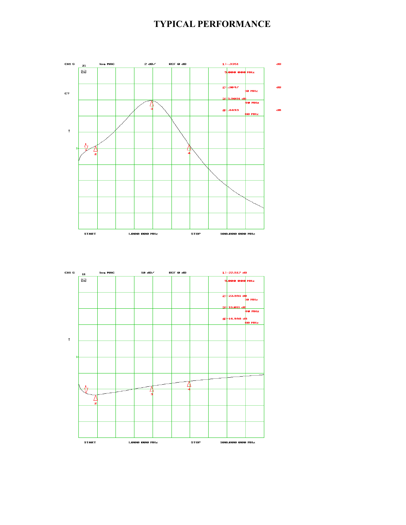#### **TYPICAL PERFORMANCE**



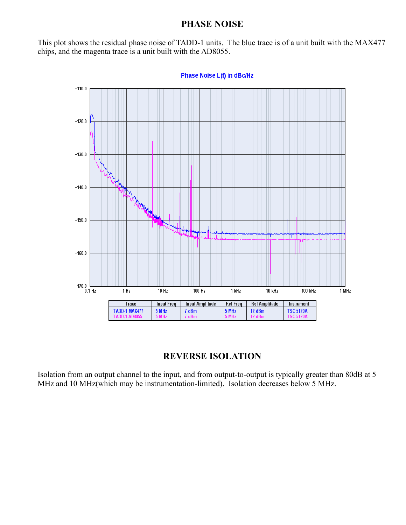#### **PHASE NOISE**

This plot shows the residual phase noise of TADD-1 units. The blue trace is of a unit built with the MAX477 chips, and the magenta trace is a unit built with the AD8055.



Phase Noise L(f) in dBc/Hz

#### **REVERSE ISOLATION**

Isolation from an output channel to the input, and from output-to-output is typically greater than 80dB at 5 MHz and 10 MHz(which may be instrumentation-limited). Isolation decreases below 5 MHz.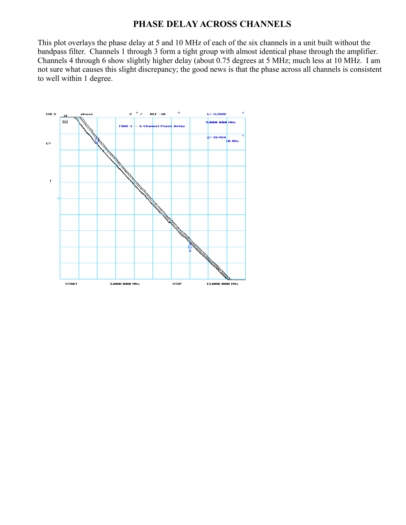#### **PHASE DELAY ACROSS CHANNELS**

This plot overlays the phase delay at 5 and 10 MHz of each of the six channels in a unit built without the bandpass filter. Channels 1 through 3 form a tight group with almost identical phase through the amplifier. Channels 4 through 6 show slightly higher delay (about 0.75 degrees at 5 MHz; much less at 10 MHz. I am not sure what causes this slight discrepancy; the good news is that the phase across all channels is consistent to well within 1 degree.

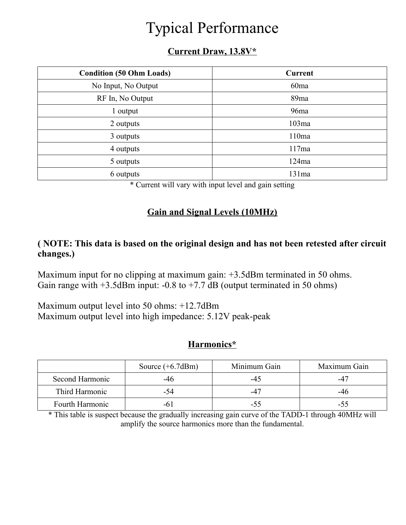# Typical Performance

#### **Current Draw, 13.8V\***

| <b>Condition (50 Ohm Loads)</b> | <b>Current</b>   |
|---------------------------------|------------------|
| No Input, No Output             | 60 <sub>ma</sub> |
| RF In, No Output                | 89 <sub>ma</sub> |
| 1 output                        | 96 <sub>ma</sub> |
| 2 outputs                       | 103ma            |
| 3 outputs                       | 110ma            |
| 4 outputs                       | 117ma            |
| 5 outputs                       | 124ma            |
| 6 outputs                       | 131ma            |

\* Current will vary with input level and gain setting

#### **Gain and Signal Levels (10MHz)**

#### **( NOTE: This data is based on the original design and has not been retested after circuit changes.)**

Maximum input for no clipping at maximum gain:  $+3.5$ dBm terminated in 50 ohms. Gain range with  $+3.5$ dBm input:  $-0.8$  to  $+7.7$  dB (output terminated in 50 ohms)

Maximum output level into 50 ohms: +12.7dBm Maximum output level into high impedance: 5.12V peak-peak

#### **Harmonics\***

|                 | Source $(+6.7dBm)$ | Minimum Gain | Maximum Gain |
|-----------------|--------------------|--------------|--------------|
| Second Harmonic | -46                | -45          | -47          |
| Third Harmonic  | -54                | $-47$        | -46          |
| Fourth Harmonic |                    | -55          | -55          |

\* This table is suspect because the gradually increasing gain curve of the TADD-1 through 40MHz will amplify the source harmonics more than the fundamental.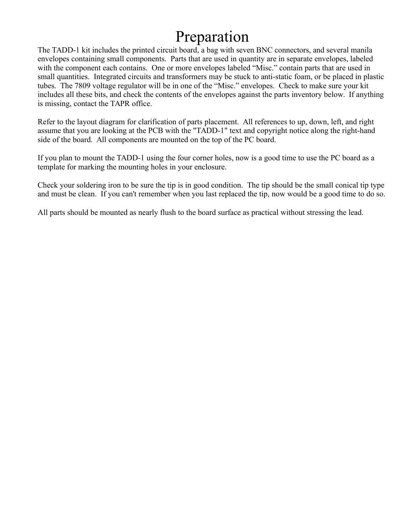### Preparation

The TADD-1 kit includes the printed circuit board, a bag with seven BNC connectors, and several manila envelopes containing small components. Parts that are used in quantity are in separate envelopes, labeled with the component each contains. One or more envelopes labeled "Misc." contain parts that are used in small quantities. Integrated circuits and transformers may be stuck to anti-static foam, or be placed in plastic tubes. The 7809 voltage regulator will be in one of the "Misc." envelopes. Check to make sure your kit includes all these bits, and check the contents of the envelopes against the parts inventory below. If anything is missing, contact the TAPR office.

Refer to the layout diagram for clarification of parts placement. All references to up, down, left, and right assume that you are looking at the PCB with the "TADD-1" text and copyright notice along the right-hand side of the board. All components are mounted on the top of the PC board.

If you plan to mount the TADD-1 using the four corner holes, now is a good time to use the PC board as a template for marking the mounting holes in your enclosure.

Check your soldering iron to be sure the tip is in good condition. The tip should be the small conical tip type and must be clean. If you can't remember when you last replaced the tip, now would be a good time to do so.

All parts should be mounted as nearly flush to the board surface as practical without stressing the lead.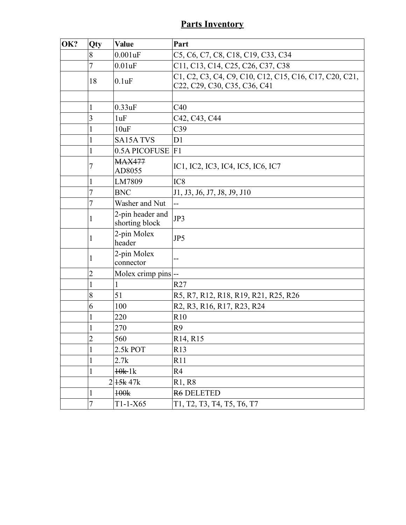### **Parts Inventory**

| OK? | Qty            | <b>Value</b>                       | Part                                                                                                    |
|-----|----------------|------------------------------------|---------------------------------------------------------------------------------------------------------|
|     | 8              | 0.001uF                            | C5, C6, C7, C8, C18, C19, C33, C34                                                                      |
|     | 7              | $0.01$ uF                          | C11, C13, C14, C25, C26, C37, C38                                                                       |
|     | 18             | 0.1uF                              | C1, C2, C3, C4, C9, C10, C12, C15, C16, C17, C20, C21,<br>C22, C29, C30, C35, C36, C41                  |
|     |                |                                    |                                                                                                         |
|     | 1              | 0.33uF                             | C40                                                                                                     |
|     | 3              | 1uF                                | C42, C43, C44                                                                                           |
|     | 1              | 10uF                               | C <sub>39</sub>                                                                                         |
|     | 1              | <b>SA15A TVS</b>                   | D1                                                                                                      |
|     | 1              | 0.5A PICOFUSE                      | F1                                                                                                      |
|     | 7              | <b>MAX477</b><br>AD8055            | IC1, IC2, IC3, IC4, IC5, IC6, IC7                                                                       |
|     | 1              | LM7809                             | IC <sub>8</sub>                                                                                         |
|     | 7              | <b>BNC</b>                         | J1, J3, J6, J7, J8, J9, J10                                                                             |
|     | 7              | Washer and Nut                     | --                                                                                                      |
|     | 1              | 2-pin header and<br>shorting block | JP3                                                                                                     |
|     | 1              | 2-pin Molex<br>header              | JP5                                                                                                     |
|     | 1              | 2-pin Molex<br>connector           | --                                                                                                      |
|     | $\overline{2}$ | Molex crimp pins --                |                                                                                                         |
|     | 1              | 1                                  | R27                                                                                                     |
|     | 8              | 51                                 | R5, R7, R12, R18, R19, R21, R25, R26                                                                    |
|     | 6              | 100                                | R <sub>2</sub> , R <sub>3</sub> , R <sub>16</sub> , R <sub>17</sub> , R <sub>23</sub> , R <sub>24</sub> |
|     | 1              | 220                                | R10                                                                                                     |
|     | 1              | 270                                | R <sub>9</sub>                                                                                          |
|     | $\overline{2}$ | 560                                | R14, R15                                                                                                |
|     |                | 2.5k POT                           | R13                                                                                                     |
|     | 1              | 2.7k                               | R11                                                                                                     |
|     |                | $10k-1k$                           | R <sub>4</sub>                                                                                          |
|     |                | 2 45k 47k                          | R1, R8                                                                                                  |
|     | 1              | 100k                               | <b>R6 DELETED</b>                                                                                       |
|     | 7              | $T1-1-X65$                         | T1, T2, T3, T4, T5, T6, T7                                                                              |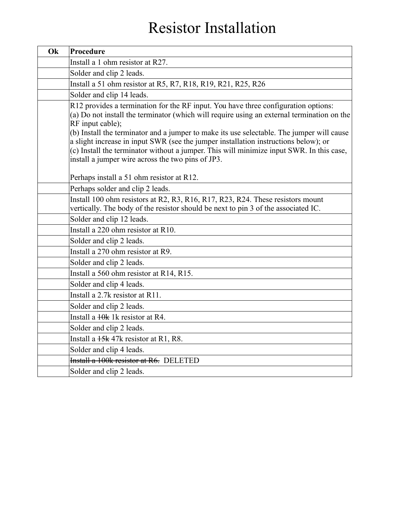# Resistor Installation

| Ok | Procedure                                                                                                                                                                                                                                                                                                                                                                                                                                                                                                                                 |
|----|-------------------------------------------------------------------------------------------------------------------------------------------------------------------------------------------------------------------------------------------------------------------------------------------------------------------------------------------------------------------------------------------------------------------------------------------------------------------------------------------------------------------------------------------|
|    | Install a 1 ohm resistor at R27.                                                                                                                                                                                                                                                                                                                                                                                                                                                                                                          |
|    | Solder and clip 2 leads.                                                                                                                                                                                                                                                                                                                                                                                                                                                                                                                  |
|    | Install a 51 ohm resistor at R5, R7, R18, R19, R21, R25, R26                                                                                                                                                                                                                                                                                                                                                                                                                                                                              |
|    | Solder and clip 14 leads.                                                                                                                                                                                                                                                                                                                                                                                                                                                                                                                 |
|    | R12 provides a termination for the RF input. You have three configuration options:<br>(a) Do not install the terminator (which will require using an external termination on the<br>RF input cable);<br>(b) Install the terminator and a jumper to make its use selectable. The jumper will cause<br>a slight increase in input SWR (see the jumper installation instructions below); or<br>(c) Install the terminator without a jumper. This will minimize input SWR. In this case,<br>install a jumper wire across the two pins of JP3. |
|    | Perhaps install a 51 ohm resistor at R12.                                                                                                                                                                                                                                                                                                                                                                                                                                                                                                 |
|    | Perhaps solder and clip 2 leads.                                                                                                                                                                                                                                                                                                                                                                                                                                                                                                          |
|    | Install 100 ohm resistors at R2, R3, R16, R17, R23, R24. These resistors mount<br>vertically. The body of the resistor should be next to pin 3 of the associated IC.                                                                                                                                                                                                                                                                                                                                                                      |
|    | Solder and clip 12 leads.                                                                                                                                                                                                                                                                                                                                                                                                                                                                                                                 |
|    | Install a 220 ohm resistor at R10.                                                                                                                                                                                                                                                                                                                                                                                                                                                                                                        |
|    | Solder and clip 2 leads.                                                                                                                                                                                                                                                                                                                                                                                                                                                                                                                  |
|    | Install a 270 ohm resistor at R9.                                                                                                                                                                                                                                                                                                                                                                                                                                                                                                         |
|    | Solder and clip 2 leads.                                                                                                                                                                                                                                                                                                                                                                                                                                                                                                                  |
|    | Install a 560 ohm resistor at R14, R15.                                                                                                                                                                                                                                                                                                                                                                                                                                                                                                   |
|    | Solder and clip 4 leads.                                                                                                                                                                                                                                                                                                                                                                                                                                                                                                                  |
|    | Install a 2.7k resistor at R11.                                                                                                                                                                                                                                                                                                                                                                                                                                                                                                           |
|    | Solder and clip 2 leads.                                                                                                                                                                                                                                                                                                                                                                                                                                                                                                                  |
|    | Install a $10k$ 1k resistor at R4.                                                                                                                                                                                                                                                                                                                                                                                                                                                                                                        |
|    | Solder and clip 2 leads.                                                                                                                                                                                                                                                                                                                                                                                                                                                                                                                  |
|    | Install a $15k$ 47k resistor at R1, R8.                                                                                                                                                                                                                                                                                                                                                                                                                                                                                                   |
|    | Solder and clip 4 leads.                                                                                                                                                                                                                                                                                                                                                                                                                                                                                                                  |
|    | Install a 100k resistor at R6. DELETED                                                                                                                                                                                                                                                                                                                                                                                                                                                                                                    |
|    | Solder and clip 2 leads.                                                                                                                                                                                                                                                                                                                                                                                                                                                                                                                  |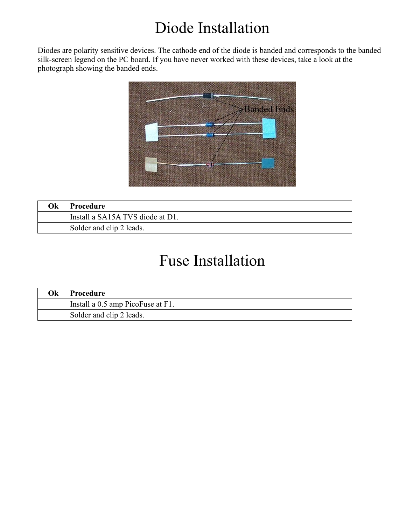# Diode Installation

Diodes are polarity sensitive devices. The cathode end of the diode is banded and corresponds to the banded silk-screen legend on the PC board. If you have never worked with these devices, take a look at the photograph showing the banded ends.



| Оk | Procedure                        |
|----|----------------------------------|
|    | Install a SA15A TVS diode at D1. |
|    | Solder and clip 2 leads.         |

### Fuse Installation

| Ok | Procedure                         |
|----|-----------------------------------|
|    | Install a 0.5 amp PicoFuse at F1. |
|    | Solder and clip 2 leads.          |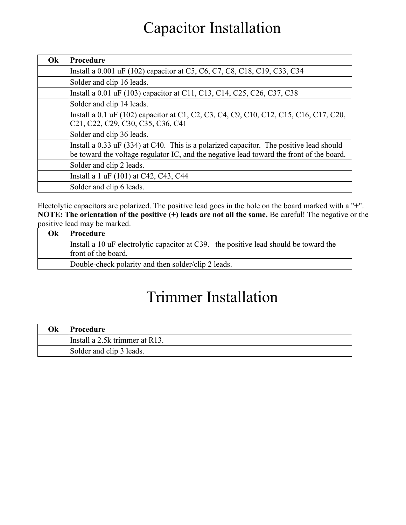### Capacitor Installation

| Ok | Procedure                                                                                                                                                                                                            |
|----|----------------------------------------------------------------------------------------------------------------------------------------------------------------------------------------------------------------------|
|    | Install a 0.001 uF (102) capacitor at C5, C6, C7, C8, C18, C19, C33, C34                                                                                                                                             |
|    | Solder and clip 16 leads.                                                                                                                                                                                            |
|    | Install a 0.01 uF (103) capacitor at C11, C13, C14, C25, C26, C37, C38                                                                                                                                               |
|    | Solder and clip 14 leads.                                                                                                                                                                                            |
|    | Install a 0.1 uF (102) capacitor at C1, C2, C3, C4, C9, C10, C12, C15, C16, C17, C20,<br>C <sub>21</sub> , C <sub>22</sub> , C <sub>29</sub> , C <sub>30</sub> , C <sub>35</sub> , C <sub>36</sub> , C <sub>41</sub> |
|    | Solder and clip 36 leads.                                                                                                                                                                                            |
|    | Install a 0.33 uF (334) at C40. This is a polarized capacitor. The positive lead should<br>be toward the voltage regulator IC, and the negative lead toward the front of the board.                                  |
|    | Solder and clip 2 leads.                                                                                                                                                                                             |
|    | Install a 1 uF (101) at C42, C43, C44                                                                                                                                                                                |
|    | Solder and clip 6 leads.                                                                                                                                                                                             |

Electolytic capacitors are polarized. The positive lead goes in the hole on the board marked with a "+". **NOTE: The orientation of the positive (+) leads are not all the same.** Be careful! The negative or the positive lead may be marked.

| Ok | Procedure                                                                                                    |
|----|--------------------------------------------------------------------------------------------------------------|
|    | Install a 10 uF electrolytic capacitor at C39. the positive lead should be toward the<br>front of the board. |
|    | Double-check polarity and then solder/clip 2 leads.                                                          |

## Trimmer Installation

| Ok | Procedure                      |
|----|--------------------------------|
|    | Install a 2.5k trimmer at R13. |
|    | Solder and clip 3 leads.       |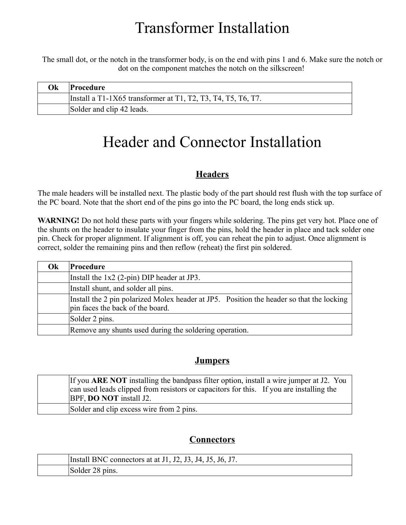### Transformer Installation

The small dot, or the notch in the transformer body, is on the end with pins 1 and 6. Make sure the notch or dot on the component matches the notch on the silkscreen!

| Ok | <b>Procedure</b>                                               |
|----|----------------------------------------------------------------|
|    | Install a $T1-1X65$ transformer at T1, T2, T3, T4, T5, T6, T7. |
|    | Solder and clip 42 leads.                                      |

### Header and Connector Installation

#### **Headers**

The male headers will be installed next. The plastic body of the part should rest flush with the top surface of the PC board. Note that the short end of the pins go into the PC board, the long ends stick up.

**WARNING!** Do not hold these parts with your fingers while soldering. The pins get very hot. Place one of the shunts on the header to insulate your finger from the pins, hold the header in place and tack solder one pin. Check for proper alignment. If alignment is off, you can reheat the pin to adjust. Once alignment is correct, solder the remaining pins and then reflow (reheat) the first pin soldered.

| <b>Ok</b> | <b>Procedure</b>                                                                                                             |
|-----------|------------------------------------------------------------------------------------------------------------------------------|
|           | Install the $1x2$ (2-pin) DIP header at JP3.                                                                                 |
|           | Install shunt, and solder all pins.                                                                                          |
|           | Install the 2 pin polarized Molex header at JP5. Position the header so that the locking<br>pin faces the back of the board. |
|           | Solder 2 pins.                                                                                                               |
|           | Remove any shunts used during the soldering operation.                                                                       |

#### **Jumpers**

| If you ARE NOT installing the bandpass filter option, install a wire jumper at J2. You<br>can used leads clipped from resistors or capacitors for this. If you are installing the<br>BPF, <b>DO NOT</b> install J2. |
|---------------------------------------------------------------------------------------------------------------------------------------------------------------------------------------------------------------------|
| Solder and clip excess wire from 2 pins.                                                                                                                                                                            |

#### **Connectors**

| Install BNC connectors at at J1, J2, J3, J4, J5, J6, J7. |
|----------------------------------------------------------|
| Solder 28 pins.                                          |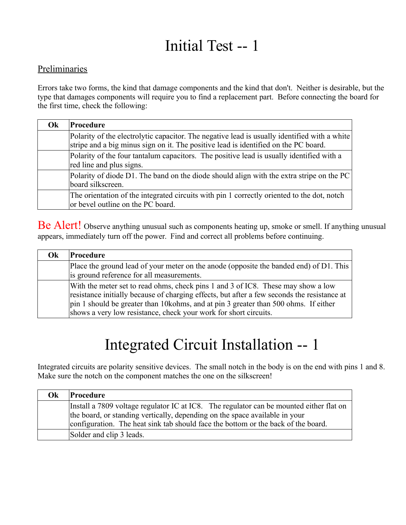# Initial Test -- 1

#### Preliminaries

Errors take two forms, the kind that damage components and the kind that don't. Neither is desirable, but the type that damages components will require you to find a replacement part. Before connecting the board for the first time, check the following:

| Ok | Procedure                                                                                                                                                                           |
|----|-------------------------------------------------------------------------------------------------------------------------------------------------------------------------------------|
|    | Polarity of the electrolytic capacitor. The negative lead is usually identified with a white<br>stripe and a big minus sign on it. The positive lead is identified on the PC board. |
|    | Polarity of the four tantalum capacitors. The positive lead is usually identified with a<br>red line and plus signs.                                                                |
|    | Polarity of diode D1. The band on the diode should align with the extra stripe on the PC<br>board silkscreen.                                                                       |
|    | The orientation of the integrated circuits with pin 1 correctly oriented to the dot, notch<br>or bevel outline on the PC board.                                                     |

Be Alert! Observe anything unusual such as components heating up, smoke or smell. If anything unusual appears, immediately turn off the power. Find and correct all problems before continuing.

| Ok | Procedure                                                                                                                                                                                                                                                                                                                                   |
|----|---------------------------------------------------------------------------------------------------------------------------------------------------------------------------------------------------------------------------------------------------------------------------------------------------------------------------------------------|
|    | Place the ground lead of your meter on the anode (opposite the banded end) of D1. This<br>is ground reference for all measurements.                                                                                                                                                                                                         |
|    | With the meter set to read ohms, check pins 1 and 3 of IC8. These may show a low<br>resistance initially because of charging effects, but after a few seconds the resistance at<br>pin 1 should be greater than 10 kohms, and at pin 3 greater than 500 ohms. If either<br>shows a very low resistance, check your work for short circuits. |

## Integrated Circuit Installation -- 1

Integrated circuits are polarity sensitive devices. The small notch in the body is on the end with pins 1 and 8. Make sure the notch on the component matches the one on the silkscreen!

| Ok | Procedure                                                                               |
|----|-----------------------------------------------------------------------------------------|
|    | Install a 7809 voltage regulator IC at IC8. The regulator can be mounted either flat on |
|    | the board, or standing vertically, depending on the space available in your             |
|    | configuration. The heat sink tab should face the bottom or the back of the board.       |
|    | Solder and clip 3 leads.                                                                |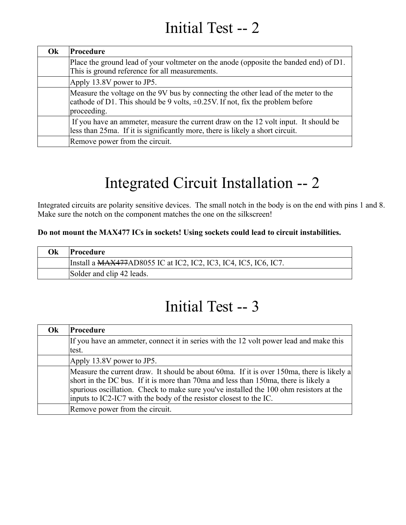### Initial Test -- 2

| Ok | Procedure                                                                                                                                                                                |
|----|------------------------------------------------------------------------------------------------------------------------------------------------------------------------------------------|
|    | Place the ground lead of your voltmeter on the anode (opposite the banded end) of D1.<br>This is ground reference for all measurements.                                                  |
|    | Apply 13.8V power to JP5.                                                                                                                                                                |
|    | Measure the voltage on the 9V bus by connecting the other lead of the meter to the<br>cathode of D1. This should be 9 volts, $\pm 0.25V$ . If not, fix the problem before<br>proceeding. |
|    | If you have an ammeter, measure the current draw on the 12 volt input. It should be<br>less than 25ma. If it is significantly more, there is likely a short circuit.                     |
|    | Remove power from the circuit.                                                                                                                                                           |

# Integrated Circuit Installation -- 2

Integrated circuits are polarity sensitive devices. The small notch in the body is on the end with pins 1 and 8. Make sure the notch on the component matches the one on the silkscreen!

#### **Do not mount the MAX477 ICs in sockets! Using sockets could lead to circuit instabilities.**

| Оk | Procedure_                                                      |
|----|-----------------------------------------------------------------|
|    | Install a MAX477AD8055 IC at IC2, IC2, IC3, IC4, IC5, IC6, IC7. |
|    | Solder and clip 42 leads.                                       |

### Initial Test -- 3

| Ok | Procedure                                                                                                                                                                                                                                                                                                                                        |
|----|--------------------------------------------------------------------------------------------------------------------------------------------------------------------------------------------------------------------------------------------------------------------------------------------------------------------------------------------------|
|    | If you have an ammeter, connect it in series with the 12 volt power lead and make this<br>test.                                                                                                                                                                                                                                                  |
|    | Apply 13.8V power to JP5.                                                                                                                                                                                                                                                                                                                        |
|    | Measure the current draw. It should be about 60ma. If it is over 150ma, there is likely a<br>short in the DC bus. If it is more than 70ma and less than 150ma, there is likely a<br>spurious oscillation. Check to make sure you've installed the 100 ohm resistors at the<br>inputs to IC2-IC7 with the body of the resistor closest to the IC. |
|    | Remove power from the circuit.                                                                                                                                                                                                                                                                                                                   |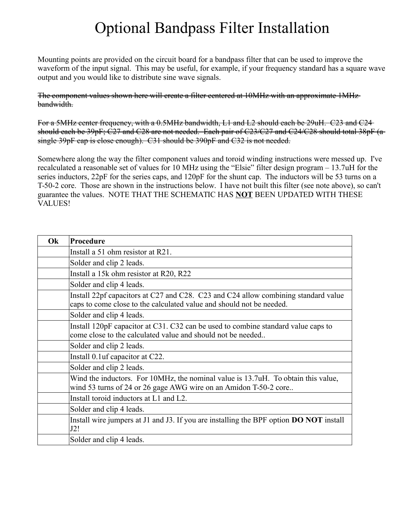### Optional Bandpass Filter Installation

Mounting points are provided on the circuit board for a bandpass filter that can be used to improve the waveform of the input signal. This may be useful, for example, if your frequency standard has a square wave output and you would like to distribute sine wave signals.

The component values shown here will create a filter centered at 10MHz with an approximate 1MHz bandwidth.

For a 5MHz center frequency, with a 0.5MHz bandwidth, L1 and L2 should each be 29uH. C23 and C24 should each be 39pF; C27 and C28 are not needed. Each pair of C23/C27 and C24/C28 should total 38pF (a single 39pF cap is close enough). C31 should be 390pF and C32 is not needed.

Somewhere along the way the filter component values and toroid winding instructions were messed up. I've recalculated a reasonable set of values for 10 MHz using the "Elsie" filter design program – 13.7uH for the series inductors, 22pF for the series caps, and 120pF for the shunt cap. The inductors will be 53 turns on a T-50-2 core. Those are shown in the instructions below. I have not built this filter (see note above), so can't guarantee the values. NOTE THAT THE SCHEMATIC HAS **NOT** BEEN UPDATED WITH THESE VALUES!

| Ok | Procedure                                                                                                                                                  |
|----|------------------------------------------------------------------------------------------------------------------------------------------------------------|
|    | Install a 51 ohm resistor at R21.                                                                                                                          |
|    | Solder and clip 2 leads.                                                                                                                                   |
|    | Install a 15k ohm resistor at R20, R22                                                                                                                     |
|    | Solder and clip 4 leads.                                                                                                                                   |
|    | Install 22pf capacitors at C27 and C28. C23 and C24 allow combining standard value<br>caps to come close to the calculated value and should not be needed. |
|    | Solder and clip 4 leads.                                                                                                                                   |
|    | Install 120pF capacitor at C31. C32 can be used to combine standard value caps to<br>come close to the calculated value and should not be needed           |
|    | Solder and clip 2 leads.                                                                                                                                   |
|    | Install 0.1 uf capacitor at C22.                                                                                                                           |
|    | Solder and clip 2 leads.                                                                                                                                   |
|    | Wind the inductors. For 10MHz, the nominal value is 13.7uH. To obtain this value,<br>wind 53 turns of 24 or 26 gage AWG wire on an Amidon T-50-2 core      |
|    | Install toroid inductors at L1 and L2.                                                                                                                     |
|    | Solder and clip 4 leads.                                                                                                                                   |
|    | Install wire jumpers at J1 and J3. If you are installing the BPF option <b>DO NOT</b> install<br>J2!                                                       |
|    | Solder and clip 4 leads.                                                                                                                                   |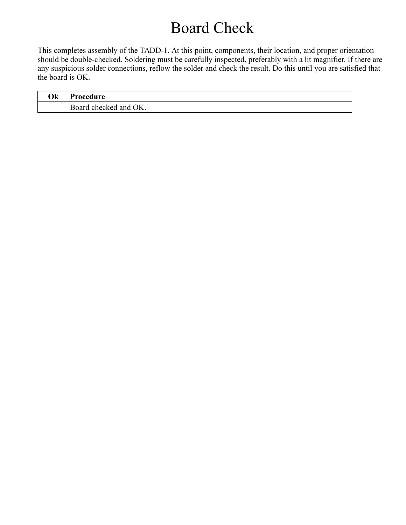### Board Check

This completes assembly of the TADD-1. At this point, components, their location, and proper orientation should be double-checked. Soldering must be carefully inspected, preferably with a lit magnifier. If there are any suspicious solder connections, reflow the solder and check the result. Do this until you are satisfied that the board is OK.

| Ok | Procedure                              |
|----|----------------------------------------|
|    | $\frac{1}{2}$ and OK.<br>Board checked |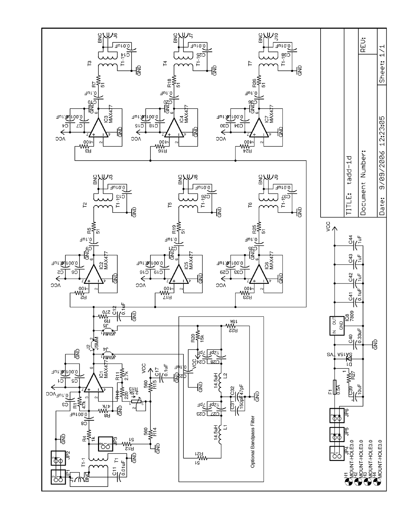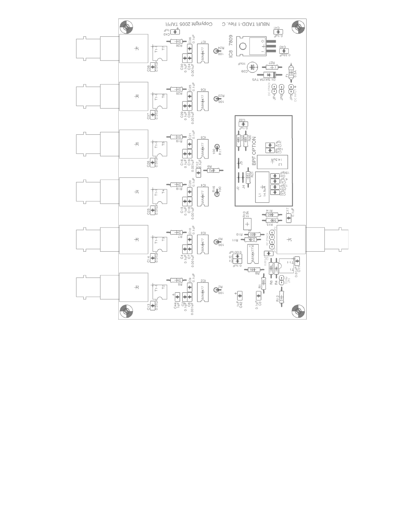